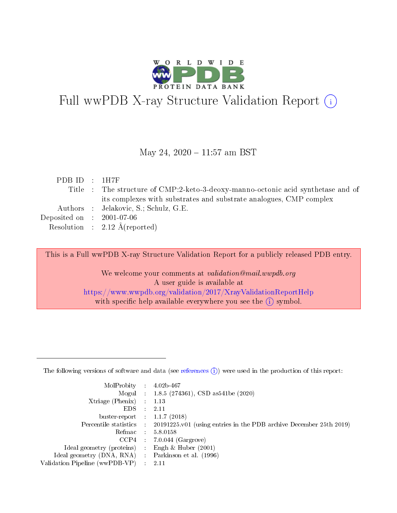

# Full wwPDB X-ray Structure Validation Report (i)

#### May 24, 2020 - 11:57 am BST

| PDBID : 1H7F                |                                                                                  |
|-----------------------------|----------------------------------------------------------------------------------|
|                             | Title : The structure of CMP:2-keto-3-deoxy-manno-octonic acid synthetase and of |
|                             | its complexes with substrates and substrate analogues, CMP complex               |
|                             | Authors : Jelakovic, S.; Schulz, G.E.                                            |
| Deposited on : $2001-07-06$ |                                                                                  |
|                             | Resolution : $2.12 \text{ Å}$ (reported)                                         |
|                             |                                                                                  |

This is a Full wwPDB X-ray Structure Validation Report for a publicly released PDB entry.

We welcome your comments at validation@mail.wwpdb.org A user guide is available at <https://www.wwpdb.org/validation/2017/XrayValidationReportHelp> with specific help available everywhere you see the  $(i)$  symbol.

The following versions of software and data (see [references](https://www.wwpdb.org/validation/2017/XrayValidationReportHelp#references)  $(1)$ ) were used in the production of this report:

| MolProbity :                   |               | $4.02b - 467$                                                                |
|--------------------------------|---------------|------------------------------------------------------------------------------|
|                                |               | Mogul : $1.8.5$ (274361), CSD as 541be (2020)                                |
| Xtriage (Phenix)               | $\mathcal{L}$ | 1.13                                                                         |
| EDS.                           |               | 2.11                                                                         |
| buster-report : $1.1.7$ (2018) |               |                                                                              |
| Percentile statistics :        |               | $20191225 \text{ v}01$ (using entries in the PDB archive December 25th 2019) |
| Refmac :                       |               | 5.8.0158                                                                     |
| CCP4                           |               | $7.0.044$ (Gargrove)                                                         |
| Ideal geometry (proteins) :    |               | Engh & Huber $(2001)$                                                        |
| Ideal geometry (DNA, RNA) :    |               | Parkinson et al. (1996)                                                      |
| Validation Pipeline (wwPDB-VP) | $\mathcal{L}$ | 2.11                                                                         |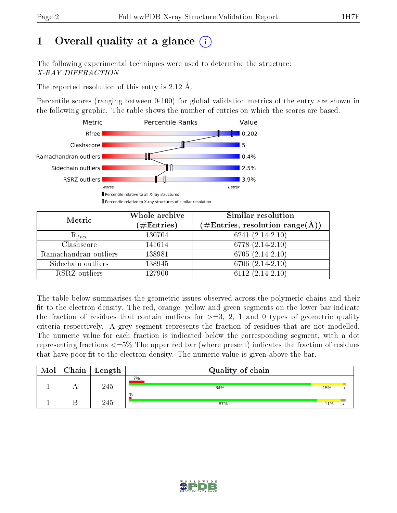# 1 [O](https://www.wwpdb.org/validation/2017/XrayValidationReportHelp#overall_quality)verall quality at a glance  $(i)$

The following experimental techniques were used to determine the structure: X-RAY DIFFRACTION

The reported resolution of this entry is 2.12 Å.

Percentile scores (ranging between 0-100) for global validation metrics of the entry are shown in the following graphic. The table shows the number of entries on which the scores are based.



| Metric                | Whole archive<br>$(\#\text{Entries})$ | <b>Similar resolution</b><br>$(\#\text{Entries}, \text{resolution range}(\text{\AA}))$ |  |  |
|-----------------------|---------------------------------------|----------------------------------------------------------------------------------------|--|--|
| $R_{free}$            | 130704                                | $6241(2.14-2.10)$                                                                      |  |  |
| Clashscore            | 141614                                | 6778 (2.14-2.10)                                                                       |  |  |
| Ramachandran outliers | 138981                                | $6705(2.14-2.10)$                                                                      |  |  |
| Sidechain outliers    | 138945                                | $6706(2.14-2.10)$                                                                      |  |  |
| RSRZ outliers         | 127900                                | 6112 $(2.14-2.10)$                                                                     |  |  |

The table below summarises the geometric issues observed across the polymeric chains and their fit to the electron density. The red, orange, yellow and green segments on the lower bar indicate the fraction of residues that contain outliers for  $>=3, 2, 1$  and 0 types of geometric quality criteria respectively. A grey segment represents the fraction of residues that are not modelled. The numeric value for each fraction is indicated below the corresponding segment, with a dot representing fractions  $\epsilon=5\%$  The upper red bar (where present) indicates the fraction of residues that have poor fit to the electron density. The numeric value is given above the bar.

| Mol | Chain | Length | Quality of chain |     |  |
|-----|-------|--------|------------------|-----|--|
|     |       | 245    | 7%<br>84%        | 15% |  |
|     |       | 245    | $\%$<br>87%      | 11% |  |

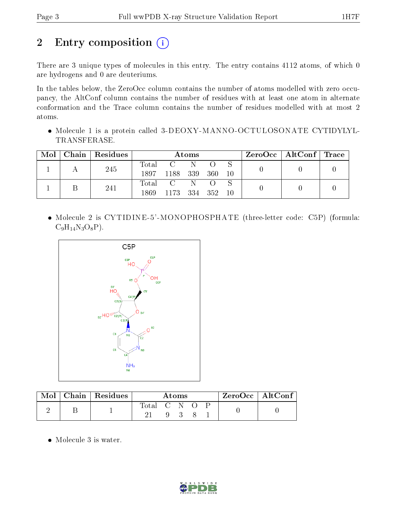# 2 Entry composition (i)

There are 3 unique types of molecules in this entry. The entry contains 4112 atoms, of which 0 are hydrogens and 0 are deuteriums.

In the tables below, the ZeroOcc column contains the number of atoms modelled with zero occupancy, the AltConf column contains the number of residues with at least one atom in alternate conformation and the Trace column contains the number of residues modelled with at most 2 atoms.

 Molecule 1 is a protein called 3-DEOXY-MANNO-OCTULOSONATE CYTIDYLYL-TRANSFERASE.

| Mol | Chain Residues | Atoms                    |                        |  |       | $\rm{ZeroOcc}$   AltConf   Trace |  |  |
|-----|----------------|--------------------------|------------------------|--|-------|----------------------------------|--|--|
|     | 245            | Total<br>1897            | C N<br>1188 339        |  | - 360 | 10                               |  |  |
|     | 241            | $\mathrm{Total}$<br>1869 | C N<br>1173 334 352 10 |  |       |                                  |  |  |

 Molecule 2 is CYTIDINE-5'-MONOPHOSPHATE (three-letter code: C5P) (formula:  $C_9H_{14}N_3O_8P$ ).



|  | Mol   Chain   Residues | Atoms       |  |  |  | $ZeroOcc \mid AltConf \mid$ |  |
|--|------------------------|-------------|--|--|--|-----------------------------|--|
|  |                        | Total C N O |  |  |  |                             |  |
|  |                        |             |  |  |  |                             |  |

• Molecule 3 is water.

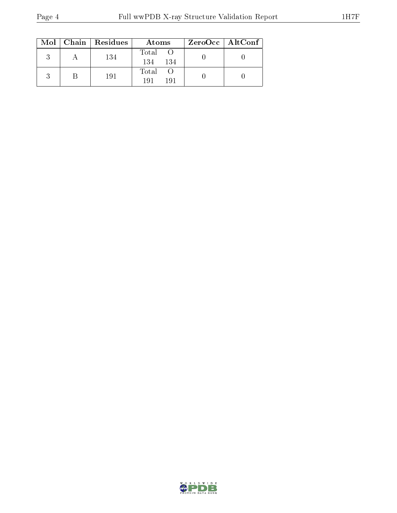|  | $Mol$   Chain   Residues | Atoms               | ZeroOcc   AltConf |
|--|--------------------------|---------------------|-------------------|
|  | 134                      | Total<br>134<br>134 |                   |
|  | 191                      | Total<br>191<br>191 |                   |

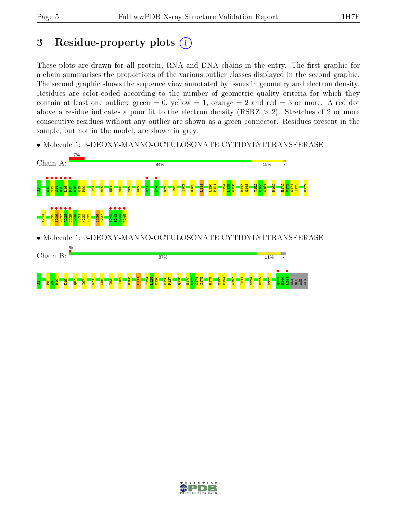## 3 Residue-property plots  $(i)$

These plots are drawn for all protein, RNA and DNA chains in the entry. The first graphic for a chain summarises the proportions of the various outlier classes displayed in the second graphic. The second graphic shows the sequence view annotated by issues in geometry and electron density. Residues are color-coded according to the number of geometric quality criteria for which they contain at least one outlier: green  $= 0$ , yellow  $= 1$ , orange  $= 2$  and red  $= 3$  or more. A red dot above a residue indicates a poor fit to the electron density (RSRZ  $> 2$ ). Stretches of 2 or more consecutive residues without any outlier are shown as a green connector. Residues present in the sample, but not in the model, are shown in grey.

• Molecule 1: 3-DEOXY-MANNO-OCTULOSONATE CYTIDYLYLTRANSFERASE



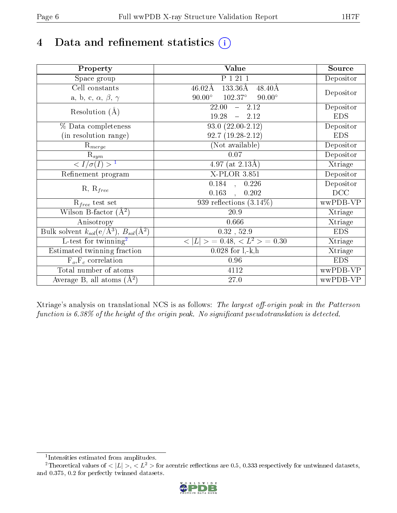# 4 Data and refinement statistics  $(i)$

| Property                                                             | <b>Value</b>                                                 | Source     |
|----------------------------------------------------------------------|--------------------------------------------------------------|------------|
| Space group                                                          | P 1 21 1                                                     | Depositor  |
| Cell constants                                                       | $133.36\text{\AA}$<br>$46.02\text{\AA}$<br>$48.40\text{\AA}$ |            |
| a, b, c, $\alpha$ , $\beta$ , $\gamma$                               | $90.00^\circ$<br>$102.37^{\circ}$<br>$90.00^\circ$           | Depositor  |
| Resolution $(A)$                                                     | 22.00<br>$-2.12$                                             | Depositor  |
|                                                                      | 19.28<br>$-2.12$                                             | <b>EDS</b> |
| % Data completeness                                                  | $93.0(22.00-2.12)$                                           | Depositor  |
| (in resolution range)                                                | $92.7(19.28-2.12)$                                           | <b>EDS</b> |
| $R_{merge}$                                                          | (Not available)                                              | Depositor  |
| $\mathrm{R}_{sym}$                                                   | 0.07                                                         | Depositor  |
| $\langle I/\sigma(I) \rangle^{-1}$                                   | $\overline{4.97}$ (at 2.13Å)                                 | Xtriage    |
| Refinement program                                                   | $X$ -PLOR 3.851                                              | Depositor  |
| $R, R_{free}$                                                        | 0.184,<br>0.226                                              | Depositor  |
|                                                                      | 0.163<br>0.202<br>$\ddot{\phantom{a}}$                       | DCC        |
| $R_{free}$ test set                                                  | 939 reflections $(3.14\%)$                                   | wwPDB-VP   |
| Wilson B-factor $(A^2)$                                              | 20.9                                                         | Xtriage    |
| Anisotropy                                                           | 0.666                                                        | Xtriage    |
| Bulk solvent $k_{sol}(e/\mathring{A}^3)$ , $B_{sol}(\mathring{A}^2)$ | $0.32$ , $52.9$                                              | <b>EDS</b> |
| L-test for twinning <sup>2</sup>                                     | $>$ = 0.48, < $L^2$ > = 0.30<br>< L                          | Xtriage    |
| Estimated twinning fraction                                          | $0.028$ for $1, -k, h$                                       | Xtriage    |
| $F_o, F_c$ correlation                                               | 0.96                                                         | <b>EDS</b> |
| Total number of atoms                                                | 4112                                                         | wwPDB-VP   |
| Average B, all atoms $(A^2)$                                         | $27.0\,$                                                     | wwPDB-VP   |

Xtriage's analysis on translational NCS is as follows: The largest off-origin peak in the Patterson function is  $6.38\%$  of the height of the origin peak. No significant pseudotranslation is detected.

<sup>&</sup>lt;sup>2</sup>Theoretical values of  $\langle |L| \rangle$ ,  $\langle L^2 \rangle$  for acentric reflections are 0.5, 0.333 respectively for untwinned datasets, and 0.375, 0.2 for perfectly twinned datasets.



<span id="page-5-1"></span><span id="page-5-0"></span><sup>1</sup> Intensities estimated from amplitudes.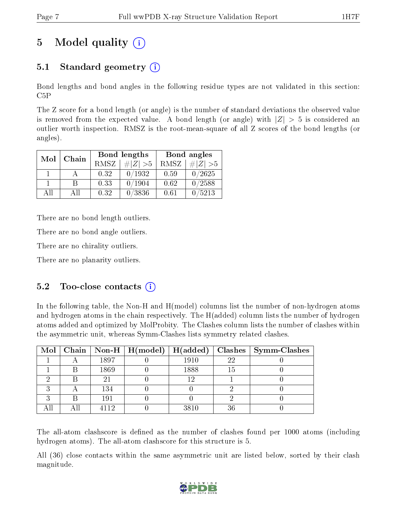# 5 Model quality  $(i)$

### 5.1 Standard geometry  $(i)$

Bond lengths and bond angles in the following residue types are not validated in this section: C5P

The Z score for a bond length (or angle) is the number of standard deviations the observed value is removed from the expected value. A bond length (or angle) with  $|Z| > 5$  is considered an outlier worth inspection. RMSZ is the root-mean-square of all Z scores of the bond lengths (or angles).

| Mol | Chain |             | Bond lengths | Bond angles |             |  |
|-----|-------|-------------|--------------|-------------|-------------|--|
|     |       | <b>RMSZ</b> | $\# Z  > 5$  | RMSZ        | # $ Z  > 5$ |  |
|     |       | 0.32        | 0/1932       | 0.59        | 0/2625      |  |
|     | R     | 0.33        | 0/1904       | 0.62        | 0/2588      |  |
| ΑĦ  | A 11  | 0.32        | 0/3836       | 0.61        | /5213       |  |

There are no bond length outliers.

There are no bond angle outliers.

There are no chirality outliers.

There are no planarity outliers.

### $5.2$  Too-close contacts  $(i)$

In the following table, the Non-H and H(model) columns list the number of non-hydrogen atoms and hydrogen atoms in the chain respectively. The H(added) column lists the number of hydrogen atoms added and optimized by MolProbity. The Clashes column lists the number of clashes within the asymmetric unit, whereas Symm-Clashes lists symmetry related clashes.

|   |      | Mol   Chain   Non-H   H(model)   H(added) |      |    | $\mid$ Clashes $\mid$ Symm-Clashes |
|---|------|-------------------------------------------|------|----|------------------------------------|
|   | 1897 |                                           | 1910 | 22 |                                    |
|   | 1869 |                                           | 1888 | 15 |                                    |
|   | 2.   |                                           | 1 ດ  |    |                                    |
| ົ | 134  |                                           |      |    |                                    |
| ົ | 191  |                                           |      |    |                                    |
|   | 119  |                                           | 3810 | 36 |                                    |

The all-atom clashscore is defined as the number of clashes found per 1000 atoms (including hydrogen atoms). The all-atom clashscore for this structure is 5.

All (36) close contacts within the same asymmetric unit are listed below, sorted by their clash magnitude.

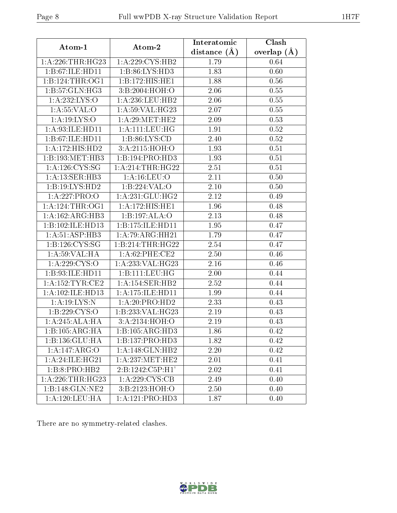| Atom-1                               | $\boldsymbol{\mathrm{Atom}\text{-}2}$ | Interatomic      | <b>Clash</b>  |  |
|--------------------------------------|---------------------------------------|------------------|---------------|--|
|                                      |                                       | distance $(\AA)$ | overlap $(A)$ |  |
| 1: A:226:THR:HG23                    | 1:A:229:CYS:HB2                       | 1.79             | 0.64          |  |
| 1:B:67:ILE:HD11                      | 1:B:86:LYS:HD3                        | 1.83             | 0.60          |  |
| 1: B: 124: THR: OG1                  | $1:B:172:\overline{HIS:HE1}$          | 1.88             | 0.56          |  |
| 1:B:57:GLN:HG3                       | 3:B:2004:HOH:O                        | 2.06             | 0.55          |  |
| $1:$ A:232:LYS:O                     | 1: A:236:LEU:HB2                      | 2.06             | 0.55          |  |
| 1: A: 55: VAL: O                     | 1: A:59: VAL:HG23                     | 2.07             | 0.55          |  |
| 1: A: 19: LYS: O                     | 1: A:29:MET:HE2                       | 2.09             | 0.53          |  |
| 1:A:93:ILE:HD11                      | 1: A: 111: LEU: HG                    | 1.91             | 0.52          |  |
| 1:B:67:ILE:HD11                      | 1: B:86: LYS:CD                       | 2.40             | 0.52          |  |
| 1:A:172:HIS:HD2                      | 3:A:2115:HOH:O                        | 1.93             | 0.51          |  |
| 1:B:193:MET:HB3                      | 1:B:194:PRO:HD3                       | 1.93             | 0.51          |  |
| 1: A: 126: CYS: SG                   | 1: A:214:THR:HG22                     | 2.51             | 0.51          |  |
| 1: A:13: SER:HB3                     | 1: A: 16: LEU: O                      | 2.11             | 0.50          |  |
| 1:B:19:LYS:HD2                       | 1:B:224:VAL:O                         | 2.10             | 0.50          |  |
| 1:A:227:PRO:O                        | 1:A:231:GLU:HG2                       | 2.12             | 0.49          |  |
| 1: A:124:THR:OG1                     | 1:A:172:HIS:HE1                       | 1.96             | 0.48          |  |
| 1:A:162:ARG:HB3                      | 1:B:197:ALA:O                         | 2.13             | 0.48          |  |
| 1:B:102:ILE:HD13                     | 1:B:175:ILE:HD11                      | 1.95             | 0.47          |  |
| 1:A:51:ASP:HB3                       | 1:A:79:ARG:HH21                       | 1.79             | 0.47          |  |
| 1:B:126:CYS:SG                       | 1:B:214:THR:HG22                      | 2.54             | 0.47          |  |
| 1:A:59:VAL:HA                        | $1:$ A:62:PHE:CE2                     | 2.50             | 0.46          |  |
| 1: A:229: CYS:O                      | 1: A:233: VAL:HG23                    | 2.16             | 0.46          |  |
| 1:B:93:ILE:HD11                      | 1:B:111:LEU:HG                        | 2.00             | 0.44          |  |
| 1: A: 152: TYR: CE2                  | 1:A:154:SER:HB2                       | 2.52             | 0.44          |  |
| $1:A:102:\overline{\text{ILE:HD13}}$ | 1: A:175: ILE: HD11                   | 1.99             | 0.44          |  |
| 1:A:19:LYS:N                         | 1:A:20:PRO:HD2                        | 2.33             | 0.43          |  |
| 1:B:229:CYS:O                        | 1:B:233:VAL:HG23                      | 2.19             | 0.43          |  |
| 1:A:245:ALA:HA                       | 3:A:2134:HOH:O                        | 2.19             | 0.43          |  |
| 1:B:105:ARG:HA                       | 1:B:105:ARG:HD3                       | 1.86             | 0.42          |  |
| 1:B:136:GLU:HA                       | 1:B:137:PRO:HD3                       | 1.82             | 0.42          |  |
| 1:A:147:ARG:O                        | 1: A:148: GLN: HB2                    | 2.20             | 0.42          |  |
| 1:A:24:ILE:HG21                      | 1: A: 237: MET: HE2                   | 2.01             | 0.41          |  |
| $1:B:8:PRO:H\overline{B2}$           | 2:B:1242:C5P:H1'                      | 2.02             | 0.41          |  |
| 1:A:226:THR:HG23                     | 1:A:229:C <sub>YS:CB</sub>            | 2.49             | 0.40          |  |
| 1:B:148:GLN:NE2                      | 3:B:2123:HOH:O                        | 2.50             | 0.40          |  |
| 1: A: 120: LEU: HA                   | 1:A:121:PRO:HD3                       | 1.87             | 0.40          |  |

There are no symmetry-related clashes.

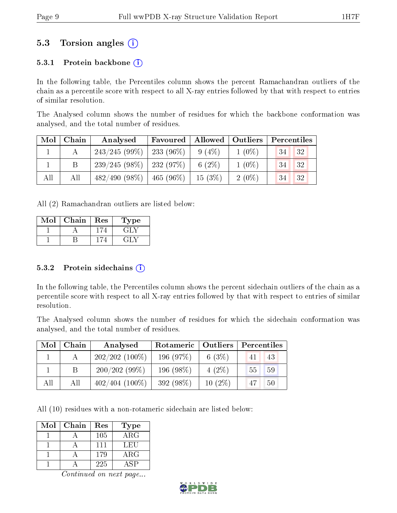### 5.3 Torsion angles (i)

#### 5.3.1 Protein backbone  $(i)$

In the following table, the Percentiles column shows the percent Ramachandran outliers of the chain as a percentile score with respect to all X-ray entries followed by that with respect to entries of similar resolution.

The Analysed column shows the number of residues for which the backbone conformation was analysed, and the total number of residues.

| Mol | Chain | Analysed                     | Favoured      | Allowed   | $\vert$ Outliers | Percentiles     |
|-----|-------|------------------------------|---------------|-----------|------------------|-----------------|
|     |       | 243/245(99%)                 | 233 (96 $%$ ) | $9(4\%)$  | $1(0\%)$         | <b>32</b><br>34 |
|     |       | $239/245(98\%)$   232 (97\%) |               | 6 $(2\%)$ | $1(0\%)$         | 32<br>34        |
| All | All   | $482/490(98\%)$              | $465(96\%)$   | $15(3\%)$ | $2(0\%)$         | 32<br>34        |

All (2) Ramachandran outliers are listed below:

| Mol | Chain | Res | Type   |
|-----|-------|-----|--------|
|     |       |     | 고급비 수  |
|     |       |     | ب اے ک |

#### 5.3.2 Protein sidechains  $(i)$

In the following table, the Percentiles column shows the percent sidechain outliers of the chain as a percentile score with respect to all X-ray entries followed by that with respect to entries of similar resolution.

The Analysed column shows the number of residues for which the sidechain conformation was analysed, and the total number of residues.

| Mol | Chain | Analysed          | Rotameric | Outliers  | Percentiles |    |  |
|-----|-------|-------------------|-----------|-----------|-------------|----|--|
|     |       | $202/202(100\%)$  | 196 (97%) | $6(3\%)$  | 41          | 43 |  |
|     | B     | 200/202(99%)      | 196 (98%) | $4(2\%)$  | 55          | 59 |  |
| All | All   | $402/404$ (100\%) | 392 (98%) | $10(2\%)$ | 47          | 50 |  |

All (10) residues with a non-rotameric sidechain are listed below:

| Mol | Chain | Res | Type       |
|-----|-------|-----|------------|
|     |       | 105 | $\rm{ARG}$ |
|     |       | 111 | LEU        |
|     |       | 179 | $\rm{ARG}$ |
|     |       | 225 | A SP       |

Continued on next page...

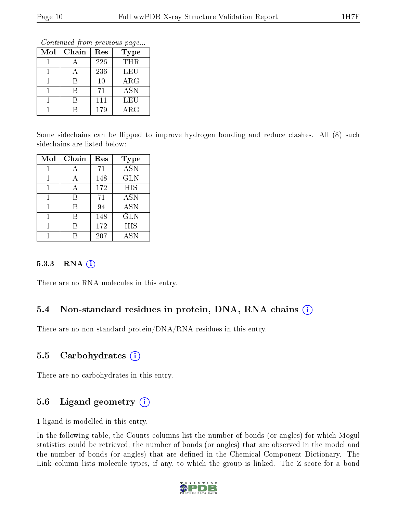Continued from previous page...

| Mol | Chain | Res | <b>Type</b> |
|-----|-------|-----|-------------|
|     |       | 226 | <b>THR</b>  |
|     |       | 236 | LEU         |
|     | R     | 10  | $\rm{ARG}$  |
|     | R     | 71  | <b>ASN</b>  |
|     | R     | 111 | LEU         |
|     |       | 179 | $\rm{ARG}$  |

Some sidechains can be flipped to improve hydrogen bonding and reduce clashes. All (8) such sidechains are listed below:

| Mol | Chain | Res | <b>Type</b>               |
|-----|-------|-----|---------------------------|
|     |       | 71  | $\overline{\mathrm{ASN}}$ |
| 1   | А     | 148 | <b>GLN</b>                |
| 1   | А     | 172 | <b>HIS</b>                |
|     | R     | 71  | <b>ASN</b>                |
|     | В     | 94  | <b>ASN</b>                |
|     | В     | 148 | <b>GLN</b>                |
|     | R     | 172 | HIS                       |
|     |       | 207 | <b>ASN</b>                |

#### 5.3.3 RNA (i)

There are no RNA molecules in this entry.

### 5.4 Non-standard residues in protein, DNA, RNA chains (i)

There are no non-standard protein/DNA/RNA residues in this entry.

### 5.5 Carbohydrates  $(i)$

There are no carbohydrates in this entry.

### 5.6 Ligand geometry  $(i)$

1 ligand is modelled in this entry.

In the following table, the Counts columns list the number of bonds (or angles) for which Mogul statistics could be retrieved, the number of bonds (or angles) that are observed in the model and the number of bonds (or angles) that are defined in the Chemical Component Dictionary. The Link column lists molecule types, if any, to which the group is linked. The Z score for a bond

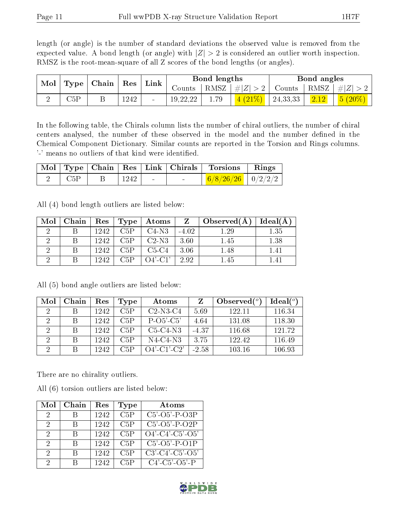length (or angle) is the number of standard deviations the observed value is removed from the expected value. A bond length (or angle) with  $|Z| > 2$  is considered an outlier worth inspection. RMSZ is the root-mean-square of all Z scores of the bond lengths (or angles).

| $\bf{Mol}$ |                                     |  |               |  | Link                |      | Bond lengths                                                                  |  | Bond angles |  |
|------------|-------------------------------------|--|---------------|--|---------------------|------|-------------------------------------------------------------------------------|--|-------------|--|
|            | $\mid$ Type $\mid$ Chain $\mid$ Res |  | $\rm{Counts}$ |  | RMSZ $  \#  Z  > 2$ |      | $\perp$ Counts $\mid$ RMSZ $\mid \#Z \mid > 2$                                |  |             |  |
|            | $\mathbb{C}5\mathrm{P}$             |  | 1242          |  | 19, 22, 22          | 1.79 | $\left( \frac{4 (21\%)}{24.33,33} \right)$ $\left( \frac{2.12}{2.12} \right)$ |  | $5(20\%)$   |  |

In the following table, the Chirals column lists the number of chiral outliers, the number of chiral centers analysed, the number of these observed in the model and the number defined in the Chemical Component Dictionary. Similar counts are reported in the Torsion and Rings columns. '-' means no outliers of that kind were identified.

|     |                      |                 | Mol   Type   Chain   Res   Link   Chirals   Torsions   Rings |  |
|-----|----------------------|-----------------|--------------------------------------------------------------|--|
| C5P | $\vert$ 1242 $\vert$ | <b>Contract</b> | $\frac{6}{8/26/26}$ 0/2/2/2                                  |  |

All (4) bond length outliers are listed below:

| Mol | Chain | Res  | Type | Atoms      | Z       | $\Box$ Observed(A) | Ideal(A) |
|-----|-------|------|------|------------|---------|--------------------|----------|
|     |       | 1242 | C5P  | $C4-N3$    | $-4.02$ | 1.29               | 1.35     |
|     |       | 1242 | C5P  | $C2-N3$    | 3.60    | 1.45               | 1.38     |
|     |       | 1242 | C5P  | $C5-C4$    | 3.06    | 1.48               | 1.41     |
|     |       | 1242 | C5P  | $O4'$ -C1' | 2.92    | 1.45               |          |

| Mol            | Chain | Res  | <b>Type</b> | Atoms          |         | Observed $(^\circ)$ | $Ideal(^{\circ})$ |
|----------------|-------|------|-------------|----------------|---------|---------------------|-------------------|
| $\mathcal{L}$  |       | 1242 | C5P         | $C2-N3-C4$     | 5.69    | 122.11              | 116.34            |
| 2              |       | 1242 | C5P         | $P-O5'-C5'$    | 4.64    | 131.08              | 118.30            |
| $\overline{2}$ |       | 1242 | C5P         | $C5-C4-N3$     | $-4.37$ | 116.68              | 121.72            |
| 2              |       | 1242 | C5P         | $N4-C4-N3$     | 3.75    | 122.42              | 116.49            |
| ച              |       | 1242 | C5P         | $O4'$ -C1'-C2' | $-2.58$ | 103.16              | 106.93            |

All (5) bond angle outliers are listed below:

There are no chirality outliers.

All (6) torsion outliers are listed below:

| Mol           | Chain | Res  | Type | Atoms                         |
|---------------|-------|------|------|-------------------------------|
| 2             |       | 1242 | C5P  | $C5'$ - $O5'$ - $P$ - $O3P$   |
| 2             |       | 1242 | C5P  | $C5' - O5' - P - O2P$         |
| $\mathcal{D}$ | R     | 1242 | C5P  | $O4'-C4'-C5'-O5'$             |
| 2             | R     | 1242 | C5P  | $C5'$ - $O5'$ - $P$ - $O1P$   |
| 2             |       | 1242 | C5P  | $C3'$ - $C4'$ - $C5'$ - $O5'$ |
| 9             |       | 1242 | C5P  | $C4'$ - $C5'$ - $O5'$ - $P$   |

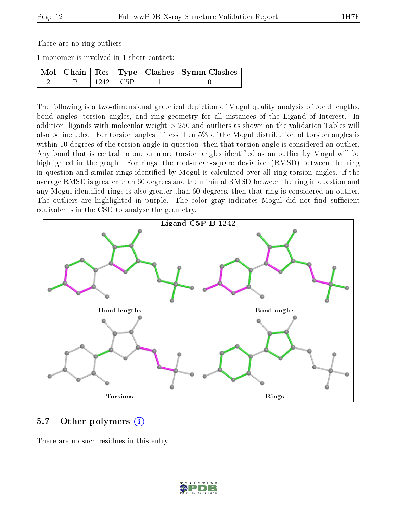There are no ring outliers.

1 monomer is involved in 1 short contact:

|  |            | Mol   Chain   Res   Type   Clashes   Symm-Clashes |
|--|------------|---------------------------------------------------|
|  | $1242$ C5P |                                                   |

The following is a two-dimensional graphical depiction of Mogul quality analysis of bond lengths, bond angles, torsion angles, and ring geometry for all instances of the Ligand of Interest. In addition, ligands with molecular weight > 250 and outliers as shown on the validation Tables will also be included. For torsion angles, if less then 5% of the Mogul distribution of torsion angles is within 10 degrees of the torsion angle in question, then that torsion angle is considered an outlier. Any bond that is central to one or more torsion angles identified as an outlier by Mogul will be highlighted in the graph. For rings, the root-mean-square deviation (RMSD) between the ring in question and similar rings identified by Mogul is calculated over all ring torsion angles. If the average RMSD is greater than 60 degrees and the minimal RMSD between the ring in question and any Mogul-identified rings is also greater than 60 degrees, then that ring is considered an outlier. The outliers are highlighted in purple. The color gray indicates Mogul did not find sufficient equivalents in the CSD to analyse the geometry.



#### 5.7 [O](https://www.wwpdb.org/validation/2017/XrayValidationReportHelp#nonstandard_residues_and_ligands)ther polymers  $(i)$

There are no such residues in this entry.

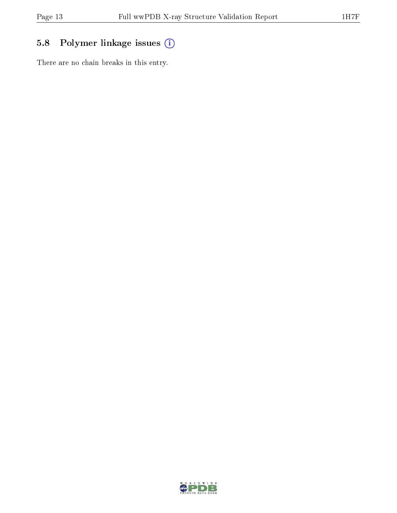## 5.8 Polymer linkage issues (i)

There are no chain breaks in this entry.

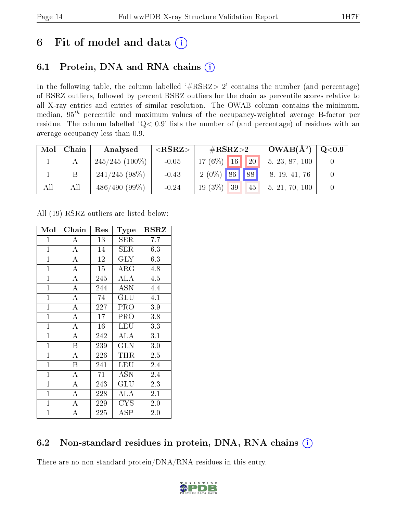## 6 Fit of model and data  $(i)$

### 6.1 Protein, DNA and RNA chains  $(i)$

In the following table, the column labelled  $#RSRZ> 2'$  contains the number (and percentage) of RSRZ outliers, followed by percent RSRZ outliers for the chain as percentile scores relative to all X-ray entries and entries of similar resolution. The OWAB column contains the minimum, median,  $95<sup>th</sup>$  percentile and maximum values of the occupancy-weighted average B-factor per residue. The column labelled ' $Q< 0.9$ ' lists the number of (and percentage) of residues with an average occupancy less than 0.9.

| Mol | Chain | Analysed         | ${ <\hspace{-1.5pt}{\mathrm{RSRZ}} \hspace{-1.5pt}>}$ | $\#\text{RSRZ}{>}2$ | $\perp$ OWAB( $\rm \AA^2)$ | Q <sub>0.9</sub> |
|-----|-------|------------------|-------------------------------------------------------|---------------------|----------------------------|------------------|
|     |       | $245/245(100\%)$ | $-0.05$                                               | $17(6\%)$ 16<br> 20 | 5, 23, 87, 100             |                  |
|     |       | $241/245(98\%)$  | $-0.43$                                               | $2(0\%)$ 86 88      | 8, 19, 41, 76              |                  |
| All | All   | $486/490(99\%)$  | $-0.24$                                               | $19(3\%)$ 39<br>45  | 5, 21, 70, 100             |                  |

All (19) RSRZ outliers are listed below:

| Mol            | Chain              | Res | Type         | <b>RSRZ</b> |  |
|----------------|--------------------|-----|--------------|-------------|--|
| 1              | А                  | 13  | SER          | 7.7         |  |
| $\mathbf{1}$   | $\overline{\rm A}$ | 14  | <b>SER</b>   | 6.3         |  |
| $\mathbf{1}$   | $\overline{\rm A}$ | 12  | <b>GLY</b>   | 6.3         |  |
| $\mathbf{1}$   | $\boldsymbol{A}$   | 15  | $\rm{ARG}$   | 4.8         |  |
| $\overline{1}$ | $\overline{\rm A}$ | 245 | ALA          | 4.5         |  |
| $\overline{1}$ | $\overline{\rm A}$ | 244 | <b>ASN</b>   | 4.4         |  |
| $\overline{1}$ | $\overline{A}$     | 74  | GLU          | 4.1         |  |
| $\mathbf{1}$   | A                  | 227 | PRO          | 3.9         |  |
| $\mathbf{1}$   | $\mathbf{A}$       | 17  | PRO          | 3.8         |  |
| $\mathbf{1}$   | $\overline{\rm A}$ | 16  | LEU          | 3.3         |  |
| $\mathbf{1}$   | A                  | 242 | ALA          | 3.1         |  |
| $\mathbf{1}$   | Β                  | 239 | GLN          | $3.0\,$     |  |
| $\overline{1}$ | $\overline{A}$     | 226 | THR          | $2.5\,$     |  |
| $\overline{1}$ | $\overline{B}$     | 241 | <b>LEU</b>   | 2.4         |  |
| $\mathbf{1}$   | $\overline{\rm A}$ | 71  | <b>ASN</b>   | 2.4         |  |
| $\mathbf{1}$   | $\overline{\rm A}$ | 243 | GLU          | 2.3         |  |
| $\mathbf{1}$   | $\overline{\rm A}$ | 228 | <b>ALA</b>   | 2.1         |  |
| $\mathbf{1}$   | A                  | 229 | <b>CYS</b>   | 2.0         |  |
| $\mathbf{1}$   | А                  | 225 | $_{\rm ASP}$ | $2.0\,$     |  |

### 6.2 Non-standard residues in protein, DNA, RNA chains (i)

There are no non-standard protein/DNA/RNA residues in this entry.

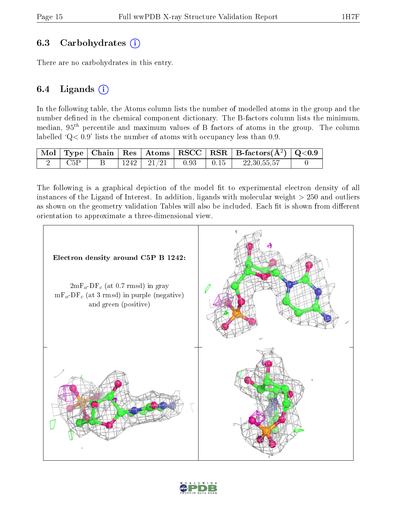#### 6.3 Carbohydrates (i)

There are no carbohydrates in this entry.

#### 6.4 Ligands  $(i)$

In the following table, the Atoms column lists the number of modelled atoms in the group and the number defined in the chemical component dictionary. The B-factors column lists the minimum, median,  $95<sup>th</sup>$  percentile and maximum values of B factors of atoms in the group. The column labelled  $Q < 0.9$ ' lists the number of atoms with occupancy less than 0.9.

|  |  |                |      | $\mid$ Mol $\mid$ Type $\mid$ Chain $\mid$ Res $\mid$ Atoms $\mid$ RSCC $\mid$ RSR $\mid$ B-factors(A <sup>2</sup> ) $\mid$ Q<0.9 |  |
|--|--|----------------|------|-----------------------------------------------------------------------------------------------------------------------------------|--|
|  |  | $1242$   21/21 | 0.93 | 22, 30, 55, 57                                                                                                                    |  |

The following is a graphical depiction of the model fit to experimental electron density of all instances of the Ligand of Interest. In addition, ligands with molecular weight  $> 250$  and outliers as shown on the geometry validation Tables will also be included. Each fit is shown from different orientation to approximate a three-dimensional view.